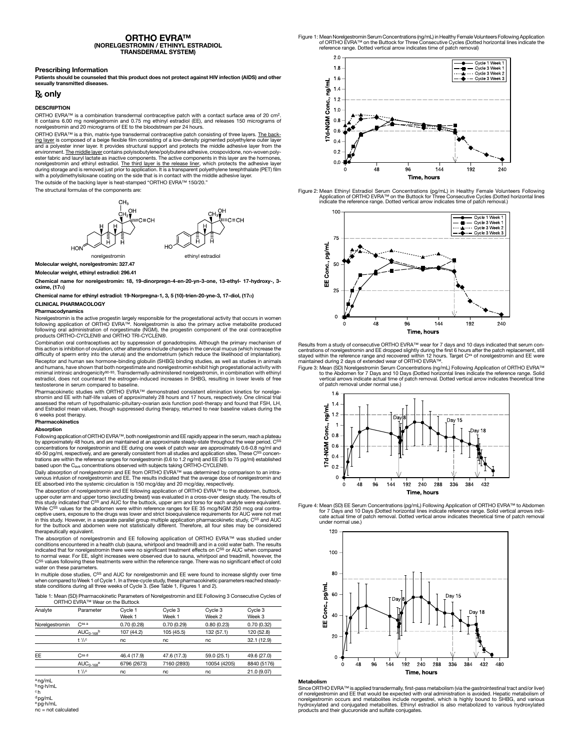#### **ORTHO EVRA™ (NORELGESTROMIN / ETHINYL ESTRADIOL TRANSDERMAL SYSTEM)**

#### **Prescribing Information**

**Patients should be counseled that this product does not protect against HIV infection (AIDS) and other sexually transmitted diseases.**

## ® **only**

## **DESCRIPTION**

ORTHO EVRA™ is a combination transdermal contraceptive patch with a contact surface area of 20 cm2. It contains 6.00 mg norelgestromin and 0.75 mg ethinyl estradiol (EE), and releases 150 micrograms of norelgestromin and 20 micrograms of EE to the bloodstream per 24 hours.

ORTHO EVRA™ is a thin, matrix-type transdermal contraceptive patch consisting of three layers. <u>The back-</u><br>in<u>g layer</u> is composed of a beige flexible film consisting of a low-density pigmented polyethylene outer layer<br>an environment. <u>The middle layer</u> contains polyisobutylene/polybutene adhesive, crospovidone, non-woven poly-<br>ester fabric and lauryl lactate as inactive components. The active components in this layer are the hormones, norelgestromin and ethinyl estradiol. <u>The third layer is the release liner</u>, which protects the adhesive layer<br>during storage and is removed just prior to application. It is a transparent polyethylene terephthalate (PET)

The outside of the backing layer is heat-stamped "ORTHO EVRA™ 150/20."

The structural formulas of the components are:



**Molecular weight, norelgestromin: 327.47**

**Molecular weight, ethinyl estradiol: 296.41**

**Chemical name for norelgestromin: 18, 19-dinorpregn-4-en-20-yn-3-one, 13-ethyl- 17-hydroxy-, 3 oxime, (17**α**)**

**Chemical name for ethinyl estradiol: 19-Norpregna-1, 3, 5 (10)-trien-20-yne-3, 17-diol, (17**α**)**

#### **CLINICAL PHARMACOLOGY**

#### **Pharmacodynamics**

Norelgestromin is the active progestin largely responsible for the progestational activity that occurs in women<br>following application of ORTHO EVRA™. Norelgestromin is also the primary active metabolite produced following oral administration of norgestimate (NGM), the progestin component of the oral contraceptive products ORTHO-CYCLEN® and ORTHO TRI-CYCLEN®.

Combination oral contraceptives act by suppression of gonadotropins. Although the primary mechanism of this action is inhibition of ovulation, other alterations include changes in the cervical mucus (which increase the difficulty of sperm entry into the uterus) and the endometrium (which reduce the likelihood of implantation). Receptor and human sex hormone-binding globulin (SHBG) binding studies, as well as studies in animals<br>and humans, have shown that both norgestimate and norelgestromin exhibit high progestational activity with<br>minimal intri testosterone in serum compared to baseline.

Pharmacokinetic studies with ORTHO EVRA™ demonstrated consistent elimination kinetics for norelge-<br>stromin and EE with half-life values of approximately 28 hours and 17 hours, respectively. One clinical trial<br>assessed the 6 weeks post therapy.

#### **Pharmacokinetics**

#### **Absorption**

Following application of ORTHO EVRA™, both norelgestromin and EE rapidly appear in the serum, reach a plateau by approximately 48 hours, and are maintained at an approximate steady-state throughout the wear period. C<sup>ss</sup><br>concentrations for norelgestromin and EE during one week of patch wear are approximately 0.6-0.8 ng/ml and 40-50 pg/ml, respectively, and are generally consistent from all studies and application sites. These C<sup>ss</sup> concen-<br>trations are within the reference ranges for norelgestromin (0.6 to 1.2 ng/ml) and EE (25 to 75 pg/ml) est

Daily absorption of norelgestromin and EE from ORTHO EVRA™ was determined by comparison to an intra-<br>venous infusion of norelgestromin and EE. The results indicated that the average dose of norelgestromin and<br>EE absorbed

The absorption of norelgestromin and EE following application of ORTHO EVRA™ to the abdomen, buttock, upper outer arm and upper torso (excluding breast) was evaluated in a cross-over design study. The results of<br>this study indicated that C<sup>SS</sup> and AUC for the buttock, upper arm and torso for each analyte were equivalent.<br>W ceptive users, exposure to the drugs was lower and strict bioequivalence requirements for AUC were not met<br>in this study. However, in a separate parallel group multiple application pharmacokinetic study, C<sup>Se</sup> and AUC<br>for therapeutically equivalent.

The absorption of norelgestromin and EE following application of ORTHO EVRA™ was studied under conditions encountered in a health club (sauna, whirlpool and treadmill) and in a cold water bath. The results<br>indicated that for norelgestromin there were no significant treatment effects on C<sup>ss</sup> or AUC when compared to normal wear. For EE, slight increases were observed due to sauna, whirlpool and treadmill, however, the C<sup>ss</sup> values following these treatments were within the reference range. There was no significant effect of cold<br>water on these parameters.

In multiple dose studies, C<sup>SS</sup> and AUC for norelgestromin and EE were found to increase slightly over time<br>whencompared to Week 1 of Cycle 1. In a three-cycle study, these pharmacokinetic parameters reached steady-<br>state

Table 1: Mean (SD) Pharmacokinetic Parameters of Norelgestromin and EE Following 3 Consecutive Cycles of ORTHO EVRA™ Wear on the Buttock

|                            |             |             |              | Cycle 3     |
|----------------------------|-------------|-------------|--------------|-------------|
|                            | Week 1      | Week 1      | Week 2       | Week 3      |
| C <sub>ss</sub> a          | 0.70(0.28)  | 0.70(0.29)  | 0.80(0.23)   | 0.70(0.32)  |
| $AUC_{0-168}$ <sup>b</sup> | 107 (44.2)  | 105 (45.5)  | 132 (57.1)   | 120 (52.8)  |
| $+$ $\frac{1}{2}c$         | nc          | nc          | nc           | 32.1 (12.9) |
|                            |             |             |              |             |
| $C$ ss d                   | 46.4 (17.9) | 47.6 (17.3) | 59.0 (25.1)  | 49.6 (27.0) |
| $AUC_{0-168}$ <sup>e</sup> | 6796 (2673) | 7160 (2893) | 10054 (4205) | 8840 (5176) |
| $t\frac{1}{2}c$            | nc          | nc          | nc           | 21.0 (9.07) |
|                            | Parameter   | Cvcle 1     | Cycle 3      | Cycle 3     |

ng/mL bng·h/mL

<sup>c</sup> h dpg/mL epg·h/mL

 $nc = not calculated$ 

Figure 1: Mean Norelgestromin Serum Concentrations (ng/mL) in Healthy Female Volunteers Following Application<br>of ORTHO EVRA™ on the Buttock for Three Consecutive Cycles (Dotted horizontal lines indicate the<br>reference range



Figure 2: Mean Ethinyl Estradiol Serum Concentrations (pg/mL) in Healthy Female Volunteers Following<br>Application of ORTHO EVRA™ on the Buttock for Three Consecutive Cycles (Dotted horizontal lines<br>indicate the reference ra



Results from a study of consecutive ORTHO EVRA™ wear for 7 days and 10 days indicated that serum con-<br>centrations of norelgestromin and EE dropped slightly during the first 6 hours after the patch replacement, stil<br>stayed maintained during 2 days of extended wear of ORTHO EVRA™.

Figure 3: Mean (SD) Norelgestromin Serum Concentrations (ng/mL) Following Application of ORTHO EVRA™ to the Abdomen for 7 Days and 10 Days (Dotted horizontal lines indicate the reference range. Solid vertical arrows indicate actual time of patch removal. Dotted vertical arrow indicates theoretical time of patch removal under normal use.)



Figure 4: Mean (SD) EE Serum Concentrations (pg/mL) Following Application of ORTHO EVRA™ to Abdomen<br>for 7 Days and 10 Days (Dotted horizontal lines indicate reference range. Solid vertical arrow<br>cate actual time of patch under normal use.)



#### **Metabolism**

Since ORTHO EVRA™ is applied transdermally, first-pass metabolism (via the gastrointestinal tract and/or liver)<br>of norelgestromin and EE that would be expected with oral administration is avoided. Hepatic metabolism of norelgestromin occurs and metabolites include norgestrel, which is highly bound to SHBG, and various<br>hydroxylated and conjugated metabolites. Ethinyl estradiol is also metabolized to various hydroxylated<br>products and their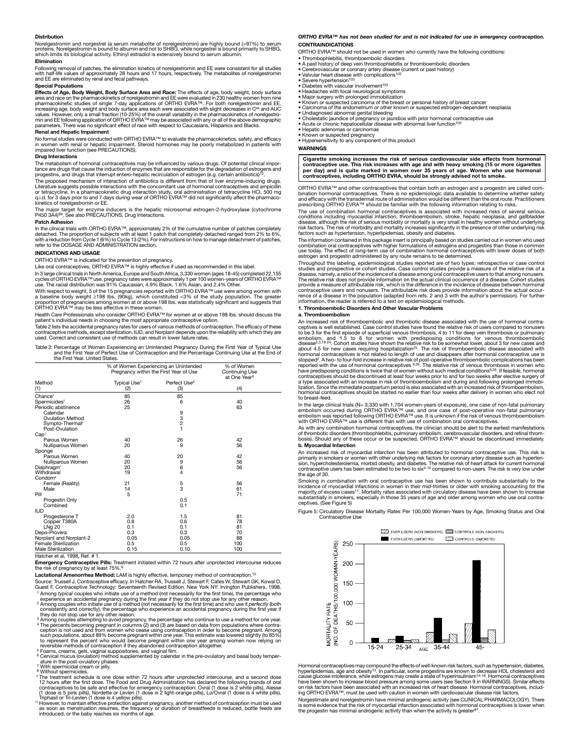#### **Distribution**

Norelgestromin and norgestrel (a serum metabolite of norelgestromin) are highly bound (>97%) to serum proteins. Norelgestromin is bound to albumin and not to SHBG, while norgestrel is bound primarily to SHBG,<br>which limits its biological activity. Ethinyl estradiol is extensively bound to serum albumin.

## **Elimination**

Following removal of patches, the elimination kinetics of norelgestromin and EE were consistent for all studies<br>with half-life values of approximately 28 hours and 17 hours, respectively. The metabolites of norelgestromin<br>

## **Special Populations**

**Effects of Age, Body Weight, Body Surface Area and Race:** The effects of age, body weight, body surface area and race on the pharmacokinetics of norelgestromin and EE were evaluated in 230 healthy women from nine<br>pharmacokinetic studies of single 7-day applications of ORTHO EVRA<sup>TM</sup>. For both norelgestromin and EE,<br>increasin

#### **Renal and Hepatic Impairment**

No formal studies were conducted with ORTHO EVRA™ to evaluate the pharmacokinetics, safety, and efficacy in women with renal or hepatic impairment. Steroid hormones may be poorly metabolized in patients with impaired liver function (see PRECAUTIONS).

## **Drug Interactions**

The metabolism of hormonal contraceptives may be influenced by various drugs. Of potential clinical impor-tance are drugs that cause the induction of enzymes that are responsible for the degradation of estrogens and progestins, and drugs that interrupt entero-hepatic recirculation of estrogen (e.g. certain antibiotics)<sup>72</sup>.<br>The proposed mechanism of interaction of antibiotics is different from that of liver enzyme-inducing drugs.

Literature suggests possible interactions with the concomitant use of hormonal contraceptives and ampicillin<br>or tetracycline. In a pharmacokinetic drug interaction study, oral administration of tetracycline HCl, 500 mg<br>q.

The major target for enzyme inducers is the hepatic microsomal estrogen-2-hydroxylase (cytochrome<br>P450 3A4)<sup>99</sup>. See also PRECAUTIONS, Drug Interactions.

#### **Patch Adhesion**

In the clinical trials with ORTHO EVRA™, approximately 2% of the cumulative number of patches completely detached. The proportion of subjects with at least 1 patch that completely detached ranged from 2% to 6%,<br>with a reduction from Cycle 1 (6%) to Cycle 13 (2%). For instructions on how to manage detachment of patches,<br>refer

#### **INDICATIONS AND USAGE**

ORTHO EVRA™ is indicated for the prevention of pregnancy.

Like oral contraceptives, ORTHO EVRA™ is highly effective if used as recommended in this label.

In 3 large clinical trials in North America, Europe and South Africa, 3,330 women (ages 18-45) completed 22,155<br>cycles of ORTHO EVRA™ use, pregnancy rates were approximately 1 per 100 women-years of ORTHO EVRA™<br>use. The r

a baseline body weight ≥198 lbs. (90kg), which constituted <3% of the study population. The greater<br>proportion of pregnancies among women at or above 198 lbs. was statistically significant and suggests that<br>ORTHO EVRA™ ma

Health Care Professionals who consider ORTHO EVRA™ for women at or above 198 lbs. should discuss the<br>patient's individual needs in choosing the most appropriate contraceptive option.

Table 2 lists the accidental pregnancy rates for users of various methods of contraception. The efficacy of these<br>contraceptive methods, except sterilization, IUD, and Norplant depends upon the reliability with which they

Table 2: Percentage of Women Experiencing an Unintended Pregnancy During the First Year of Typical Use<br>and the First Year of Perfect Use of Contraception and the Percentage Continuing Use at the End of<br>the First Year. Unit

|                             | % of Women Experiencing an Unintended<br>Pregnancy within the First Year of Use | % of Women<br>Continuing Use<br>at One Year <sup>3</sup> |     |  |
|-----------------------------|---------------------------------------------------------------------------------|----------------------------------------------------------|-----|--|
| Method<br>(1)               | Typical Use <sup>1</sup><br>(2)                                                 | Perfect Use <sup>2</sup><br>(3)                          | (4) |  |
| Chance <sup>4</sup>         | 85                                                                              | 85                                                       |     |  |
| Spermicides <sup>5</sup>    | 26                                                                              | 6                                                        | 40  |  |
| Periodic abstinence         | 25                                                                              |                                                          | 63  |  |
| Calendar                    |                                                                                 | 9                                                        |     |  |
| <b>Ovulation Method</b>     |                                                                                 | 3                                                        |     |  |
| Sympto-Thermal <sup>6</sup> |                                                                                 |                                                          |     |  |
| Post-Ovulation              |                                                                                 | $\frac{2}{1}$                                            |     |  |
| Cap <sup>7</sup>            |                                                                                 |                                                          |     |  |
| Parous Women                | 40                                                                              | 26                                                       | 42  |  |
| Nulliparous Women           | 20                                                                              | 9                                                        | 56  |  |
| Sponge                      |                                                                                 |                                                          |     |  |
| Parous Women                | 40                                                                              | 20                                                       | 42  |  |
| Nulliparous Women           | 20                                                                              | 9                                                        | 56  |  |
| Diaphragm <sup>7</sup>      | 20                                                                              | 6                                                        | 56  |  |
| Withdrawal                  | 19                                                                              | 4                                                        |     |  |
| Condom <sup>®</sup>         |                                                                                 |                                                          |     |  |
| Female (Reality)            | 21                                                                              | 5                                                        | 56  |  |
| Male                        | 14                                                                              | 3                                                        | 61  |  |
| Pill                        | 5                                                                               |                                                          | 71  |  |
| Progestin Only              |                                                                                 | 0.5                                                      |     |  |
| Combined                    |                                                                                 | 0.1                                                      |     |  |
| IUD.                        |                                                                                 |                                                          |     |  |
| Progesterone T              | 2.0                                                                             | 1.5                                                      | 81  |  |
| Copper T380A                | 0.8                                                                             | 0.6                                                      | 78  |  |
| <b>LNg 20</b>               | 0.1                                                                             | 0.1                                                      | 81  |  |
| Depo-Provera                | 0.3                                                                             | 0.3                                                      | 70  |  |
| Norplant and Norplant-2     | 0.05                                                                            | 0.05                                                     | 88  |  |
| Female Sterilization        | 0.5                                                                             | 0.5                                                      | 100 |  |
| Male Sterilization          | 0.15                                                                            | 0.10                                                     | 100 |  |

Hatcher et al, 1998, Ref. # 1.

**Emergency Contraceptive Pills:** Treatment initiated within 72 hours after unprotected intercourse reduces<br>the risk of pregnancy by at least 75%.<sup>9</sup>

**Lactational Amenorrhea Method:** LAM is highly effective, *temporary* method of contraception.10

Source: Trussell J, Contraceptive efficacy. In Hatcher RA, Trussell J, Stewart F, Cates W, Stewart GK, Kowal D,<br>Guest F, Contraceptive Technology: Seventeenth Revised Edition. New York NY: Irvington Publishers, 1998.<br><sup>1</sup> A

- 
- e xperience an accidental pregnancy during the first year if they do not stop use for any other reason.<br>
e Among couples who initiate use of a method (not necessarily for the first time) and who use it perfectly (both<br>
con

ature in the post-ovulatory phases. <sup>7</sup> With spermicidal cream or jelly.

<sup>8</sup> Without spermicries.<br>
The treatment schedule is one dose within 72 hours after unprotected intercourse, and a second dose<br>
<sup>12</sup> hours after the first dose. The Food and Drug Administration has declared the following br

#### *ORTHO EVRA™ has not been studied for and is not indicated for use in emergency contraception.* **CONTRAINDICATIONS**

ORTHO EVRA™ should not be used in women who currently have the following conditions:

- 
- Thrombophlebitis, thromboembolic disorders<br>• A past history of deep vein thrombophlebitis or thromboembolic disorders<br>• Cerebrovascular or coronary artery disease (current or past history)<br>• Valvular heart disease with c

- 
- 
- 
- Headaches with focal neurological symptoms<br>• Major surgery with prolonged immobilization<br>• Known or suspected carcinoma of the breast or personal history of breast cancer<br>• Carcinoma of the endometrium or other known or
- 
- Undiagnosed abnormal genital bleeding<br>• Cholestatic jaundice of pregnancy or jaundice with prior hormonal contraceptive use<br>• Acute or chronic hepatocellular disease with abnormal liver function<sup>103</sup><br>• Hepatic adenomas o

## **WARNINGS**

**Cigarette smoking increases the risk of serious cardiovascular side effects from hormonal**  contraceptive use. This risk increases with age and with heavy smoking (15 or more cigarettes<br>per day) and is quite marked in women over 35 years of age. Women who use hormonal<br>contraceptives, including ORTHO EVRA, should

ORTHO EVRA™ and other contraceptives that contain both an estrogen and a progestin are called combination hormonal contraceptives. There is no epidemiologic data available to determine whether safety<br>and efficacy with the transdermal route of administration would be different than the oral route. Practitioners<br>prescr

The use of combination hormonal contraceptives is associated with increased risks of several serious conditions including myocardial infarction, thromboembolism, stroke, hepatic neoplasia, and gallbladder<br>disease, although the risk of serious morbidity or mortality is very small in healthy women without underlying<br>risk fa

The information contained in this package insert is principally based on studies carried out in women who used<br>combination oral contraceptives with higher formulations of estrogens and progestins than those in common<br>use t estrogen and progestin administered by any route remains to be determined.

Throughout this labeling, epidemiological studies reported are of two types: retrospective or case control studies and prospective or cohort studies. Case control studies provide a measure of the relative risk of a disease, namely, a ratio of the incidence of a disease among oral contraceptive users to that among nonusers.<br>The relative risk does not provide information on the actual clinical occurrence of a disease. Cohort studies<br>pr rence of a disease in the population (adapted from refs. 2 and 3 with the author's permission). For further information, the reader is referred to a text on epidemiological methods.

## **1. Thromboembolic Disorders And Other Vascular Problems**

#### **a. Thromboembolism**

An increased risk of thromboembolic and thrombotic disease associated with the use of hormonal contra-<br>An increased risk of thromboembolic and thrombotic disease associated with the use of hormonal contras-<br>to be 3 for th

In the large clinical trials (N= 3,330 with 1,704 women-years of exposure), one case of non-fatal pulmonary<br>embolism occurred during ORTHO EVRA™ use, and one case of post-operative non-fatal pulmonary<br>embolism was reporte

As with any combination hormonal contraceptives, the clinician should be alert to the earliest manifestations<br>of thrombotic disorders (thrombophlebitis, pulmonary embolism, cerebrovascular disorders, and retinal throm-<br>bo **b. Myocardial Infarction** 

An increased risk of myocardial infarction has been attributed to hormonal contraceptive use. This risk is<br>primarily in smokers or women with other underlying risk factors for coronary artery disease such as hyperten-<br>sion the age of 30.

Smoking in combination with oral contraceptive use has been shown to contribute substantially to the incidence of myocardial infarctions in women in their mid-thirties or older with smoking accounting for the<br>majority of excess cases<sup>11</sup>. Mortality rates associated with circulatory disease have been shown to increase<br>subs

Figure 5: Circulatory Disease Mortality Rates Per 100,000 Women-Years by Age, Smoking Status and Oral Contraceptive Use



Hormonal contraceptives may compound the effects of well-known risk factors, such as hypertension, diabetes,<br>hyperlipidemias, age and obesity<sup>13</sup>. In particular, some progestins are known to decrease HDL cholesterol and<br>ca have been shown to increase blood pressure among some users (see Section 9 in WARNINGS). Similar effects on risk factors have been associated with an increased risk of heart disease. Hormonal contraceptives, including ORTHO EVRA™, must be used with caution in women with cardiovascular disease risk factors.

Norgestimate and norelgestromin have minimal androgenic activity (see CLINICAL PHARMACOLOGY). There is some evidence that the risk of myocardial infarction associated with hormonal contraceptives is lower when<br>the progestin has minimal androgenic activity than when the activity is greater<sup>97</sup>.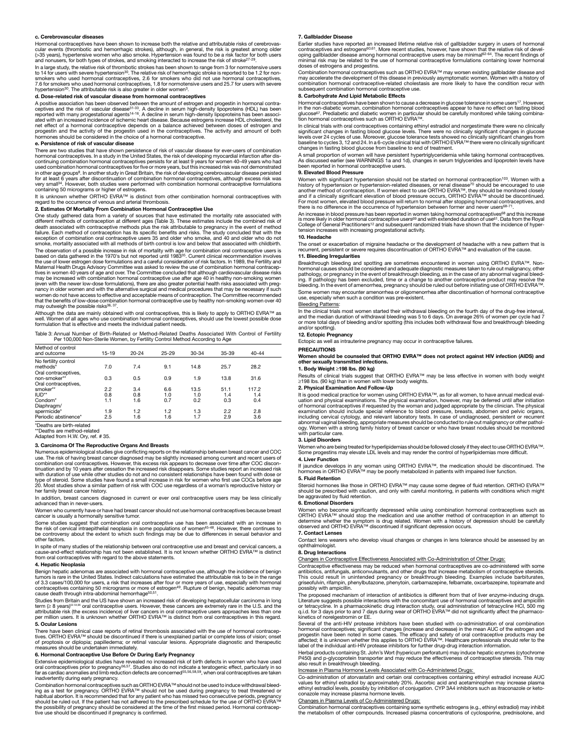#### **c. Cerebrovascular diseases**

Hormonal contraceptives have been shown to increase both the relative and attributable risks of cerebrovascular events (thrombotic and hemorrhagic strokes), although, in general, the risk is greatest among older<br>(>35 years), hypertensive women who also smoke. Hypertension was found to be a risk factor for both users<br>and nonuse

In a large study, the relative risk of thrombotic strokes has been shown to range from 3 for normotensive users<br>to 14 for users with severe hypertension<sup>30</sup>. The relative risk of hemorrhagic stroke is reported to be 1.2 fo 7.6 for smokers who used hormonal contraceptives, 1.8 for normotensive users and 25.7 for users with severe<br>hypertension<sup>30</sup>. The attributable risk is also greater in older women<sup>3</sup>.

#### **d. Dose-related risk of vascular disease from hormonal contraceptives**

A positive association has been observed between the amount of estrogen and progestin in hormonal contra-<br>ceptives and the risk of vascular disease<sup>31-33</sup>. A decline in serum high-density lipoproteins (HDL) has been<br>report progestin and the activity of the progestin used in the contraceptives. The activity and amount of both hormones should be considered in the choice of a hormonal contraceptive.

#### **e. Persistence of risk of vascular disease**

There are two studies that have shown persistence of risk of vascular disease for ever-users of combination<br>hormonal contraceptives. In a study in the United States, the risk of developing myocardial infarction after dis-<br> for at least 6 years after discontinuation of combination hormonal contraceptives, although excess risk was<br>very small<sup>34</sup>. However, both studies were performed with combination hormonal contraceptive formulations containing 50 micrograms or higher of estrogens.

It is unknown whether ORTHO EVRA™ is distinct from other combination hormonal contraceptives with regard to the occurrence of venous and arterial thrombosis.

#### **2. Estimates Of Mortality From Combination Hormonal Contraceptive Use**

One study gathered data from a variety of sources that have estimated the mortality rate associated with different methods of contraception at different ages (Table 3). These estimates include the combined risk of d<br>death associated with contraceptive methods plus the risk attributable to pregnancy in the event of method<br>fail The observation of a possible increase in risk of mortality with age for combination oral contraceptive users is<br>based on data gathreed in the 1970's but ot reported until 1983<sup>56</sup>. Current clinical recommendation involves

Although the data are mainly obtained with oral contraceptives, this is likely to apply to ORTHO EVRA™ as<br>well. Women of all ages who use combination hormonal contraceptives, should use the lowest possible dose<br>formulation

Table 3: Annual Number of Birth-Related or Method-Related Deaths Associated With Control of Fertility Per 100,000 Non-Sterile Women, by Fertility Control Method According to Age

| Method of control<br>and outcome | $15 - 19$ | $20 - 24$ | $25 - 29$ | $30-34$ | $35 - 39$ | $40 - 44$ |  |
|----------------------------------|-----------|-----------|-----------|---------|-----------|-----------|--|
| No fertility control             |           |           |           |         |           |           |  |
| methods*                         | 7.0       | 7.4       | 9.1       | 14.8    | 25.7      | 28.2      |  |
| Oral contraceptives,             |           |           |           |         |           |           |  |
| non-smoker**                     | 0.3       | 0.5       | 0.9       | 1.9     | 13.8      | 31.6      |  |
| Oral contraceptives,             |           |           |           |         |           |           |  |
| smoker**                         | 2.2       | 3.4       | 6.6       | 13.5    | 51.1      | 117.2     |  |
| IUD**                            | 0.8       | 0.8       | 1.0       | 1.0     | 1.4       | 1.4       |  |
| Condom*                          | 1.1       | 1.6       | 0.7       | 0.2     | 0.3       | 0.4       |  |
| Diaphragm/                       |           |           |           |         |           |           |  |
| spermicide*                      | 1.9       | 1.2       | 1.2       | 1.3     | 2.2       | 2.8       |  |
| Periodic abstinence*             | 2.5       | 1.6       | 1.6       | 1.7     | 2.9       | 3.6       |  |

\*Deaths are birth-related

\*\*Deaths are method-related Adapted from H.W. Ory, ref. # 35.

#### **3. Carcinoma Of The Reproductive Organs And Breasts**

Numerous epidemiological studies give conflicting reports on the relationship between breast cancer and COC<br>use. The risk of having breast cancer diagnosed may be slightly increased among current and recent users of<br>combin tinuation and by 10 years after cessation the increased risk disappears. Some studies report an increased risk<br>with duration of use while other studies do not and no consistent relationships have been found with dose or<br>ty

In addition, breast cancers diagnosed in current or ever oral contraceptive users may be less clinically advanced than in never-users.

Women who currently have or have had breast cancer should not use hormonal contraceptives because breast cancer is usually a hormonally sensitive tumor.

Some studies suggest that combination oral contraceptive use has been associated with an increase in<br>the risk of cervical intraepithelial neoplasia in some populations of women<sup>45-48</sup>. However, there continues to be controversy about the extent to which such findings may be due to differences in sexual behavior and other factors.

In spite of many studies of the relationship between oral contraceptive use and breast and cervical cancers, a cause-and-effect relationship has not been established. It is not known whether ORTHO EVRA™ is distinct from oral contraceptives with regard to the above statements.

#### **4. Hepatic Neoplasia**

Benign hepatic adenomas are associated with hormonal contraceptive use, although the incidence of benign tumors is rare in the United States. Indirect calculations have estimated the attributable risk to be in the range<br>of 3.3 cases/100,000 for users, a risk that increases after four or more years of use, especially with horm

Studies from Britain and the US have shown an increased risk of developing hepatocellular carcinoma in long<br>term (≥ 8 years)≌आ oral contraceptive users. However, these cancers are extremely rare in the U.S. and the attributable risk (the excess incidence) of liver cancers in oral contraceptive users approaches less than one<br>per million users. It is unknown whether ORTHO EVRA™ is distinct from oral contraceptives in this regard.<br>**5.** 

There have been clinical case reports of retinal thrombosis associated with the use of hormonal contraceptives. ORTHO EVRA™ should be discontinued if there is unexplained partial or complete loss of vision; onset of proptosis or diplopia; papilledema; or retinal vascular lesions. Appropriate diagnostic and therapeutic measures should be undertaken immediately.

## **6. Hormonal Contraceptive Use Before Or During Early Pregnancy**

Extensive epidemiological studies have revealed no increased risk of birth defects in women who have used<br>oral contraceptives prior to pregnancy<sup>56,57</sup>. Studies also do not indicate a teratogenic effect, particularly in so

Combination hormonal contraceptives such as ORTHO EVRA™ should not be used to induce withdrawal bleed-<br>ing as a test for pregnancy. ORTHO EVRA™ should not be used during pregnancy to treat threatened or<br>habitual abortion.

#### **7. Gallbladder Disease**

Earlier studies have reported an increased lifetime relative risk of gallbladder surgery in users of hormonal<br>contraceptives and estrogens<sup>60,61</sup>. More recent studies, however, have shown that the relative risk of devel-<br>o doses of estrogens and progestins.

Combination hormonal contraceptives such as ORTHO EVRA™ may worsen existing gallbladder disease and<br>may accelerate the development of this disease in previously asymptomatic women. Women with a history of<br>combination horm subsequent combination hormonal contraceptive use.

#### **8. Carbohydrate And Lipid Metabolic Effects**

Hormonal contraceptives have been shown to cause a decrease in glucose tolerance in some users<sup>17</sup>. However, in the non-diabetic woman, combination hormonal contraceptives appear to have no effect on fasting blood<br>glucose<sup>97</sup>. Prediabetic and diabetic women in particular should be carefully monitored while taking combina-<br>tion h

In clinical trials with oral contraceptives containing ethinyl estradiol and norgestimate there were no clinically significant changes in fasting blood glucose levels. There were no clinically significant changes in glucose<br>levels over 24 cycles of use. Moreover, glucose tolerance tests showed no clinically significant changes from<br>bas

A small proportion of women will have persistent hypertriglyceridemia while taking hormonal contraceptives. As discussed earlier (see WARNINGS 1a and 1d), changes in serum triglycerides and lipoprotein levels have been reported in hormonal contraceptive users.

## **9. Elevated Blood Pressure**

Women with significant hypertension should not be started on hormonal contraception<sup>103</sup>. Women with a<br>history of hypertension or hypertension-related diseases, or renal disease<sup>70</sup> should be encouraged to use<br>another met

For most women, elevated blood pressure will return to normal after stopping hormonal contraceptives, and<br>there is no difference in the occurrence of hypertension between former and never users<sup>68-71</sup>.<br>An increase in bloo

#### **10. Headache**

The onset or exacerbation of migraine headache or the development of headache with a new pattern that is recurrent, persistent or severe requires discontinuation of ORTHO EVRA™ and evaluation of the cause.

#### **11. Bleeding Irregularities**

Breakthrough bleeding and spotting are sometimes encountered in women using ORTHO EVRA™. Nonhormonal causes should be considered and adequate diagnostic measures taken to rule out malignancy, other<br>pathology, or pregnancy in the event of breakthrough bleeding, as in the case of any abnormal vaginal bleed-<br>ing. If Some women may encounter amenorrhea or oligomenorrhea after discontinuation of hormonal contraceptive use, especially when such a condition was pre-existent.

# Bleeding Patterns:

In the clinical trials most women started their withdrawal bleeding on the fourth day of the drug-free interval,<br>and the median duration of withdrawal bleeding was 5 to 6 days. On average 26% of women per cycle had 7<br>or mo and/or spotting).

## **12. Ectopic Pregnancy**

Ectopic as well as intrauterine pregnancy may occur in contraceptive failures.

#### **PRECAUTIONS**

**Women should be counseled that ORTHO EVRA™ does not protect against HIV infection (AIDS) and other sexually transmitted infections.**

**1. Body Weight** ≥**198 lbs. (90 kg)** Results of clinical trials suggest that ORTHO EVRA™ may be less effective in women with body weight ≥198 lbs. (90 kg) than in women with lower body weights.

#### **2. Physical Examination And Follow-Up**

It is good medical practice for women using ORTHO EVRA™, as for all women, to have annual medical eval-<br>uation and physical examinations. The physical examination, however, may be deferred until after initiation<br>of hormon examination should include special reference to blood pressure, breasts, abdomen and pelvic organs, including cervical cytology, and relevant laboratory tests. In case of undiagnosed, persistent or recurrent<br>abnormal vaginal bleeding, appropriate measures should be conducted to rule out malignancy or other pathol-<br>ogy. W

#### **3. Lipid Disorders**

Women who are being treated for hyperlipidemias should be followed closely if they elect to use ORTHO EVRA™.<br>Some progestins may elevate LDL levels and may render the control of hyperlipidemias more difficult. **4. Liver Function**

If jaundice develops in any woman using ORTHO EVRA™, the medication should be discontinued. The<br>hormones in ORTHO EVRA™ may be poorly metabolized in patients with impaired liver function. **5. Fluid Retention**

Steroid hormones like those in ORTHO EVRA™ may cause some degree of fluid retention. ORTHO EVRA™<br>should be prescribed with caution, and only with careful monitoring, in patients with conditions which might be aggravated by fluid retention.

#### **6. Emotional Disorders**

Women who become significantly depressed while using combination hormonal contraceptives such as<br>ORTHO EVRA™ should stop the medication and use another method of contraception in an attempt to<br>determine whether the symptom

## **7. Contact Lenses**

Contact lens wearers who develop visual changes or changes in lens tolerance should be assessed by an ophthalmologist.

## **8. Drug Interactions**

#### Changes in Contraceptive Effectiveness Associated with Co-Administration of Other Drugs:

Contraceptive effectiveness may be reduced when hormonal contraceptives are co-administered with some antibiotics, antifungals, anticonvulsants, and other drugs that increase metabolism of contraceptive steroids. This could result in unintended pregnancy or breakthrough bleeding. Examples include barbiturates,<br>griseofulvin, rifampin, phenylbutazone, phenytoin, carbamazepine, felbamate, oxcarbazepine, topiramate and<br>possibly with am

The proposed mechanism of interaction of antibiotics is different from that of liver enzyme-inducing drugs.<br>Literature suggests possible interactions with the concomitant use of hormonal contraceptives and ampicillin<br>or t kinetics of norelgestromin or EE.

Several of the anti-HIV protease inhibitors have been studied with co-administration of oral combination hormonal contraceptives; significant changes (increase and decrease) in the mean AUC of the estrogen and<br>progestin have been noted in some cases. The efficacy and safety of oral contraceptive products may be<br>affected; it

Herbal products containing St. John's Wort (hypericum perforatum) may induce hepatic enzymes (cytochrome<br>P450) and p-glycoprotein transporter and may reduce the effectiveness of contraceptive steroids. This may<br>also result

# Increase in Plasma Hormone Levels Associated with Co-Administered Drugs:

Co-administration of atorvastatin and certain oral contraceptives containing ethinyl estradiol increase AUC<br>values for ethinyl estradiol by approximately 20%. Ascorbic acid and acetaminophen may increase plasma<br>ethinyl est

## Changes in Plasma Levels of Co-Administered Drugs:

Combination hormonal contraceptives containing some synthetic estrogens (e.g., ethinyl estradiol) may inhibit the metabolism of other compounds. Increased plasma concentrations of cyclosporine, prednisolone, and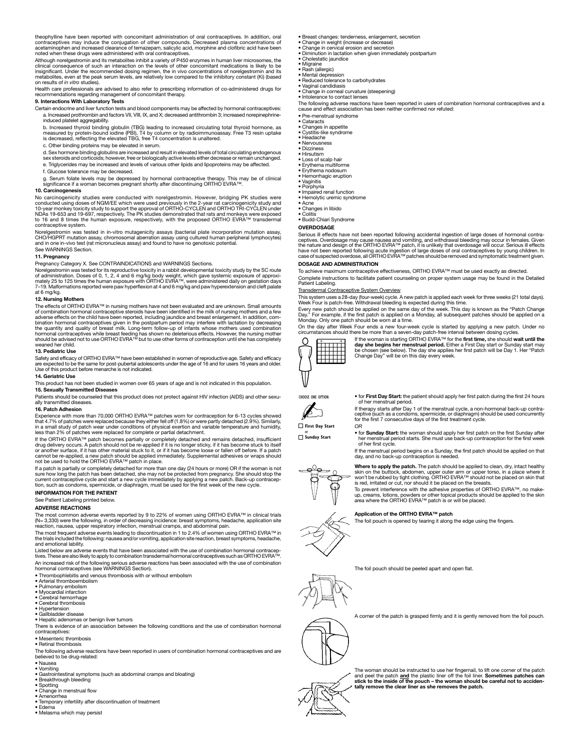theophylline have been reported with concomitant administration of oral contraceptives. In addition, oral<br>contraceptives may induce the conjugation of other compounds. Decreased plasma concentrations of<br>acetaminophen and i noted when these drugs were administered with oral contraceptives.

Although norelgestromin and its metabolites inhibit a variety of P450 enzymes in human liver microsomes, the clinical consequence of such an interaction on the levels of other concomitant medications is likely to be insignificant. Under the recommended dosing regimen, the in vivo concentrations of norelgestromin and its<br>metabolites, even at the peak serum levels, are relatively low compared to the inhibitory constant (Ki) (based<br>on re

Health care professionals are advised to also refer to prescribing information of co-administered drugs for recommendations regarding management of concomitant therapy.

#### **9. Interactions With Laboratory Tests**

Certain endocrine and liver function tests and blood components may be affected by hormonal contraceptives: a. Increased prothrombin and factors VII, VIII, IX, and X; decreased antithrombin 3; increased norepinephrine-induced platelet aggregability.

b. Increased thyroid binding globulin (TBG) leading to increased circulating total thyroid hormone, as<br>measured by protein-bound iodine (PBI), T4 by column or by radioimmunoassay. Free T3 resin uptake<br>is decreased, reflect

c. Other binding proteins may be elevated in serum.

d. Sex hormone binding globulins are increased and result in elevated levels of total circulating endogenous sex steroids and corticoids; however, free or biologically active levels either decrease or remain unchanged.

- e. Triglycerides may be increased and levels of various other lipids and lipoproteins may be affected.
- f. Glucose tolerance may be decreased.

g. Serum folate levels may be depressed by hormonal contraceptive therapy. This may be of clinical<br>significance if a woman becomes pregnant shortly after discontinuing ORTHO EVRA™.

# **10. Carcinogenesis**

No carcinogenicity studies were conducted with norelgestromin. However, bridging PK studies were conducted using doses of NGM/EE which were used previously in the 2-year rat carcinogenicity study and 10-year monkey toxici contraceptive system.

Norelgestromin was tested in in-vitro mutagenicity assays (bacterial plate incorporation mutation assay,<br>CHO/HGPRT mutation assay, chromosomal aberration assay using cultured human peripheral lymphocytes)<br>and in one in-viv See WARNINGS Section.

## **11. Pregnancy**

Pregnancy Category X. See CONTRAINDICATIONS and WARNINGS Sections.

Norelgestromin was tested for its reproductive toxicity in a rabbit developmental toxicity study by the SC route of administration. Doses of 0, 1, 2, 4 and 6 mg/kg body weight, which gave systemic exposure of approxi-<br>mately 25 to 125 times the human exposure with ORTHO EVRA™, were administered daily on gestation days 7–19. Malformations reported were paw hyperflexion at 4 and 6 mg/kg and paw hyperextension and cleft palate at 6 mg/kg.

#### **12. Nursing Mothers**

The effects of ORTHO EVRA™ in nursing mothers have not been evaluated and are unknown. Small amounts of combination hormonal contraceptive steroids have been identified in the milk of nursing mothers and a few<br>adverse effects on the child have been reported, including jaundice and breast enlargement. In addition, com-<br>bin rene et enemeer<br>aned her child

#### **13. Pediatric Use**

Safety and efficacy of ORTHO EVRA™ have been established in women of reproductive age. Safety and efficacy are expected to be the same for post-pubertal adolescents under the age of 16 and for users 16 years and older. Use of this product before menarche is not indicated.

#### **14. Geriatric Use**

This product has not been studied in women over 65 years of age and is not indicated in this population. **15. Sexually Transmitted Diseases**

Patients should be counseled that this product does not protect against HIV infection (AIDS) and other sexu-ally transmitted diseases.

#### **16. Patch Adhesion**

Experience with more than 70,000 ORTHO EVRA™ patches worn for contraception for 6-13 cycles showed<br>that 4.7% of patches were replaced because they either fell off (1.8%) or were partly detached (2.9%). Similarly, in a small study of patch wear under conditions of physical exertion and variable temperature and humidity, less than 2% of patches were replaced for complete or partial detachment.

If the ORTHO EVRA™ patch becomes partially or completely detached and remains detached, insufficient<br>drug delivery occurs. A patch should not be re-applied if it is no longer sticky, if it has become stuck to itself<br>or ano not be used to hold the ORTHO EVRA™ patch in place.

If a patch is partially or completely detached for more than one day (24 hours or more) OR if the woman is not sure how long the patch has been detached, she may not be protected from pregnancy. She should stop the current contraceptive cycle and start a new cycle immediately by applying a new patch. Back-up contracep-tion, such as condoms, spermicide, or diaphragm, must be used for the first week of the new cycle.

## **INFORMATION FOR THE PATIENT**

See Patient Labeling printed below.

## **ADVERSE REACTIONS**

The most common adverse events reported by 9 to 22% of women using ORTHO EVRA™ in clinical trials<br>(N= 3,330) were the following, in order of decreasing incidence: breast symptoms, headache, application site<br>reaction, naus

The most frequent adverse events leading to discontinuation in 1 to 2.4% of women using ORTHO EVRA™ in the trials included the following: nausea and/or vomiting, application site reaction, breast symptoms, headache, and emotional lability.

Listed below are adverse events that have been associated with the use of combination hormonal contracep-<br>tives. These are also likely to apply to combination transdermal hormonal contraceptives such as ORTHO EVRA™. An increased risk of the following serious adverse reactions has been associated with the use of combination hormonal contraceptives (see WARNINGS Section).

• Thrombophlebitis and venous thrombosis with or without embolism

- Arterial thromboembolism Pulmonary embolism Myocardial infarction
- 
- 
- Cerebral hemorrhage Cerebral thrombosis

## • Hypertension

• Gallbladder disease • Hepatic adenomas or benign liver tumors

There is evidence of an association between the following conditions and the use of combination hormonal contraceptives:

• Mesenteric thrombosis • Retinal thrombosis

The following adverse reactions have been reported in users of combination hormonal contraceptives and are believed to be drug-related:

# • Nausea • Vomiting

- Gastrointestinal symptoms (such as abdominal cramps and bloating)
- · Breakthrough bleeding
- Spotting Change in menstrual flow
- Amenorrhea
- Temporary infertility after discontinuation of treatment • Edema
- Melasma which may persist





ceptive (such as a condoms, spermicide, or diaphragm) should be used concurrently for the first 7 consecutive days of the first treatment cycle. *OR*

<sup>or</sup><br>Sunday Start

• for **Sunday Start:** the woman should apply her first patch on the first Sunday after her menstrual period starts. She must use back-up contraception for the first week of her first cycle.

If the menstrual period begins on a Sunday, the first patch should be applied on that day, and no back-up contraception is needed.

Where to apply the patch. The patch should be applied to clean, dry, intact healthy<br>skin on the buttock, abdomen, upper outer arm or upper torso, in a place where it<br>won't be rubbed by tight clothing. ORTHO EVRA™ should no

To prevent interference with the adhesive properties of ORTHO EVRA™, no make-<br>up, creams, lotions, powders or other topical products should be applied to the skin<br>area where the ORTHO EVRA™ patch is or will be placed.

#### **Application of the ORTHO EVRA™ patch**

The foil pouch is opened by tearing it along the edge using the fingers.

The foil pouch should be peeled apart and open flat.

A corner of the patch is grasped firmly and it is gently removed from the foil pouch.



The woman should be instructed to use her fingernail, to lift one corner of the patch<br>and peel the patch and the plastic liner off the foil liner. **Sometimes patches can**<br>stick to the inside of the pouch – the woman should

• for **First Day Start:** the patient should apply her first patch during the first 24 hours of her menstrual period. If therapy starts after Day 1 of the menstrual cycle, a non-hormonal back-up contra-

The following adverse reactions have been reported in users of combination hormonal contraceptives and a

Serious III effects have not been reported following accidental ingestion of large doses of hormonal contra-<br>ceptives. Overdosage may cause nausea and vomiting, and withdrawal bleeding may occur in females. Given<br>the natu

This system uses a 28-day (four-week) cycle. A new patch is applied each week for three weeks (21 total days). Week Four is patch-free. Withdrawal bleeding is expected during this time. Every new patch should be applied on the same day of the week. This day is known as the "Patch Change<br>Day." For example, if the first patch is applied on a Monday, all subsequent patches should be applied on a<br>Monday. Only

On the day after Week Four ends a new four-week cycle is started by applying a new patch. Under no<br>circumstances should three be more than a seven-day patch-free interval between dosing cycles.<br>
If the woman is starting O

**DOSAGE AND ADMINISTRATION**<br>To achieve maximum contraceptive effectiveness. ORTHO EVRA™ must be used exactly as directed. To achieve maximum contraceptive effectiveness, ORTHO EVRA™ must be used exactly as directed.<br>Complete instructions to facilitate patient counseling on proper system usage may be found in the Detailed<br>Patient Labeling.





Transdermal Contraceptive System Overview

• Breast changes: tenderness, enlargement, secretion • Change in weight (increase or decrease) • Change in cervical erosion and secretion • Diminution in lactation when given immediately postpartum

cause and effect association has been neither confirmed nor refuted:

Cholestatic jaundice

• Pre-menstrual syndrome **Cataracts** • Changes in appetite • Cystitis-like syndrome • Headache • Nervousness • Dizziness • Hirsutism • Loss of scalp hair • Erythema multiforme • Erythema nodosum • Hemorrhagic eruption • Vaginitis • Porphyria • Impaired renal function • Hemolytic uremic syndrome • Acne

• Changes in libido • Colitis • Budd-Chiari Syndrome **OVERDOSAGE**

• Migraine • Rash (allergic) • Mental depression • Reduced tolerance to carbohydrates • Vaginal candidiasis • Change in corneal curvature (steepening) • Intolerance to contact lenses







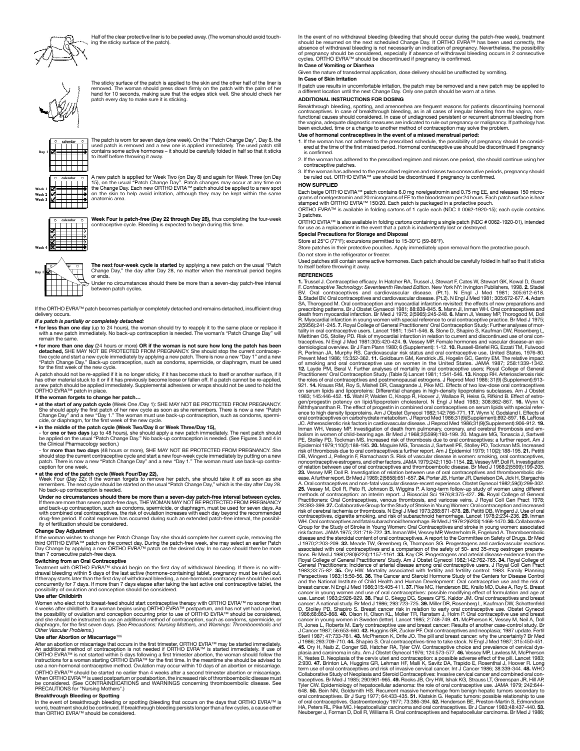

Half of the clear protective liner is to be peeled away. (The woman should avoid touch-ing the sticky surface of the patch).

The sticky surface of the patch is applied to the skin and the other half of the liner is<br>removed. The woman should press down firmly on the patch with the palm of her<br>hand for 10 seconds, making sure that the edges stick



**Week 1 Week 2 Week 3**

The patch is worn for seven days (one week). On the "Patch Change Day", Day 8, the used patch is removed and a new one is applied immediately. The used patch still contains some active hormones – it should be carefully folded in half so that it sticks to itself before throwing it away.

A new patch is applied for Week Two (on Day 8) and again for Week Three (on Day<br>15), on the usual "Patch Change Day". Patch changes may occur at any time on<br>the Change Day. Each new ORTHO EVRA™ patch should be applied to a on the skin to help avoid irritation, although they may be kept within the same anatomic area.



**Week Four is patch-free (Day 22 through Day 28),** thus completing the four-week<br>contraceptive cycle. Bleeding is expected to begin during this time.

**Day 1 c** 

**The next four-week cycle is started** by applying a new patch on the usual "Patch<br>Change Day," the day after Day 28, no matter when the menstrual period begins<br>or ends.

Under no circumstances should there be more than a seven-day patch-free interval between patch cycles.

If the ORTHO EVRA™ patch becomes partially or completely detached and remains detached, insufficient drug delivery occu

## *If a patch is partially or completely detached:*

- for less than one day (up to 24 hours), the woman should try to reapply it to the same place or replace it<br>with a new patch immediately. No back-up contraception is needed. The woman's "Patch Change Day" will<br>remain the
- **for more than one day** (24 hours or more) **OR if the woman is not sure how long the patch has been detached,** SHE MAY NOT BE PROTECTED FROM PREGNANCY. She should stop the current contraceptive cycle and start a new cycle immediately by applying a new patch. There is now a new "Day 1" and a new "Patch Change Day." Back-up contraception, such as condoms, spermicide, or diaphragm, must be used for the first week of the new cycle.

A patch should not be re-applied if it is no longer sticky, if it has become stuck to itself or another surface, if it<br>has other material stuck to it or if it has previously become loose or fallen off. If a patch cannot b

## **If the woman forgets to change her patch…**

• **at the start of any patch cycle** (Week One /Day 1): SHE MAY NOT BE PROTECTED FROM PREGNANCY. She should apply the first patch of her new cycle as soon as she remembers. There is now a new "Patch<br>Change Day" and a new "Day 1." The woman must use back-up contraception, such as condoms, spermi-<br>cide, or diaphragm, fo

in the middle of the patch cycle (Week Two/Day 8 or Week Three/Day 15)<br>for one or two days (up to 48 hours), she should apply a new patch immediately. The next patch should -<br>be applied on the usual "Patch Change Day." No the Clinical Pharmacology section.)

- for **more than two days** (48 hours or more), SHE MAY NOT BE PROTECTED FROM PREGNANCY. She should stop the current contraceptive cycle and start a new four-week cycle immediately by putting on a new<br>patch. There is now a new "Patch Change Day" and a new "Day 1." The woman must use back-up contra-<br>ception for one

• at the end of the patch cycle (Week Four/Day 22),<br>Week Four (Day 22): If the woman forgets to remove her patch, she should take it off as soon as she<br>remembers. The next cycle should be started on the usual "Patch Change No back-up contraception is needed.

Under no circumstances should there be more than a seven-day patch-free interval between cycles.<br>If there are more than seven patch-free days, THE WOMAN MAY NOT BE PROTECTED FROM PREGNANCY<br>and back-up contraception, such a ity of fertilization should be considered.

## **Change Day Adjustment**

If the woman wishes to change her Patch Change Day she should complete her current cycle, removing the<br>third ORTHO EVRA™ patch on the correct day. During the patch-free week, she may select an earlier Patch<br>Day Change by

#### **Switching from an Oral Contraceptive**

Treatment with ORTHO EVRA™ should begin on the first day of withdrawal bleeding. If there is no with-<br>drawal bleeding within 5 days of the last active (hormone-containing) tablet, pregnancy must be ruled out.<br>If therapy s concurrently for 7 days. If more than 7 days elapse after taking the last active oral contraceptive tablet, the possibility of ovulation and conception should be considered.

#### **Use after Childbirth**

Women who elect not to breast-feed should start contraceptive therapy with ORTHO EVRA™ no sooner than<br>4 weeks after childbirth. If a woman begins using ORTHO EVRA™ postpartum, and has not yet had a period,<br>the possibility

#### **Use after Abortion or Miscarriage**<sup>106</sup>

After an abortion or miscarriage that occurs in the first trimester, ORTHO EVRA™ may be started immediately.<br>An additional method of contraception is not needed if ORTHO EVRA™ is started immediately. If use of<br>ORTHO EVRA™ ORTHO EVRA™ should be started no earlier than 4 weeks after a second trimester abortion or miscarriage.<br>When ORTHO EVRA™ is used postpartum or postabortion, the increased risk of thromboembolic disease must<br>be considered.

#### **Breakthrough Bleeding or Spotting**

In the event of breakthrough bleeding or spotting (bleeding that occurs on the days that ORTHO EVRA™ is<br>worn), treatment should be continued. If breakthrough bleeding persists longer than a few cycles, a cause other<br>than

In the event of no withdrawal bleeding (bleeding that should occur during the patch-free week), treatment<br>should be resumed on the next scheduled Change Day. If ORTHO EVRA™ has been used correctly, the<br>absence of withdraw **In Case of Vomiting or Diarrhea**

## Given the nature of transdermal application, dose delivery should be unaffected by vomiting.

#### **In Case of Skin Irritation**

If patch use results in uncomfortable irritation, the patch may be removed and a new patch may be applied to a different location until the next Change Day. Only one patch should be worn at a time.

## **ADDITIONAL INSTRUCTIONS FOR DOSING**

Breakthrough bleeding, spotting, and amenorrhea are frequent reasons for patients discontinuing hormonal<br>contraceptives. In case of breakthrough bleeding, as in all cases of irregular bleeding from the vagina, non-<br>functio

## **Use of hormonal contraceptives in the event of a missed menstrual period:**

1. If the woman has not adhered to the prescribed schedule, the possibility of pregnancy should be considering<br>ered at the dime of the first missed period. Hormonal contraceptive use should be discontinued if pregnancy<br>is

2. If the woman has adhered to the prescribed regimen and misses one period, she should continue using her contraceptive patches.

3. If the woman has adhered to the prescribed regimen and misses two consecutive periods, pregnancy should<br>be ruled out. ORTHO EVRA™ use should be discontinued if pregnancy is confirmed.

#### **HOW SUPPLIED**

Each beige ORTHO EVRA™ patch contains 6.0 mg norelgestromin and 0.75 mg EE, and releases 150 micro-<br>grams of norelgestromin and 20 micrograms of EE to the bloodstream per 24 hours. Each patch surface is heat<br>stamped with

ORTHO EVRA™ is available in folding cartons of 1 cycle each (NDC # 0062-1920-15); each cycle contains

3 patches.<br>ORTHO EVRA™ is also available in folding cartons containing a single patch (NDC # 0062-1920-01), intended<br>for use as a replacement in the event that a patch is inadvertently lost or destroyed. **Special Precautions for Storage and Disposal**

## Store at 25°C (77°F); excursions permitted to 15-30°C (59-86°F).

Store patches in their protective pouches. Apply immediately upon removal from the protective pouch

Do not store in the refrigerator or freezer.

Used patches still contain some active hormones. Each patch should be carefully folded in half so that it sticks to itself before throwing it away.

#### **REFERENCES**

1. Trussel J. Contraceptive efficacy. In Hatcher RA, Trussel J, Stewart F, Cates W, Stewart GK, Kowal D, Guest<br>F. Co*ntraceptive Technology: Seventeenth Revised Edition*. New York NY: Irvington Publishers, 1998. 2. Stadel<br> SA, Thorogood M. Oral contraception and myocardial infarction revisited: the effects of new preparations and prescribing patterns. Br J Obstet Gynaecol 1981; 88:838-845. **5.** Mann Jl, Inman WH. Oral contraceptives and death from myocardial infarction. Br Med J 1975; 2(5965):245-248. **6.** Mann Jl, Vessey MP, Thorogood M, Doll<br>R. Myocardial infarction in young women with special reference to oral contraceptive practice. Br Med J 1975;<br>2(5 Miettinen OS, Stolley PD. Risk of myocarizial infraction in relation to curent and discontinued use of oral con-<br>Kraceptives. N. Engl J Med 1981:305:420-424. 9. Vessey MP. Female hormones and vascular disease-an epi-<br>demio bolism in women of child-bearing age. Br Med J 1968;2(5599):193-199. 20. Maguire MG, Tonascia J, Sartwell<br>PE, Stolley PD, Tockman MS. Increased risk of thrombosis due to oral contraceptives: a further report. Am J<br>Epidemio of relation between use of oral contraceptives and thromboembolic disease. Br Med J 1968;2(5599):199-205.<br>**23.** Vessey MP, Doll R. Investigation of relation between use of oral contraceptives and thromboembolic dis-<br>ease. A. Oral contraceptives and non-fatal vascular disease-recent experience. Obstet Gynecol 1982;59(3):299-302.<br>25. Vessey M, Doll R, Peto R, Johnson B, Wiggins P. A long-term follow-up study of women using different<br>methods o contraceptives, cigarette smoking, and risk of subarachnoid hemorrhage. Lancet 1978;2:234-236. **29.** Inman WH. Oral contraceptives and fatal subarachnoid hemorrhage. Br Med. J of Group for the Study of Stroke in Young Wome associated with oral contraceptives and a comparison of the safety of 50- and 35-mcg oestrogen prepara-<br>tions. Br Med J 1980;280(6224):1157-1161. 33. Kay CR. Progestogens and arterial disease-evidence from the<br>Floyal Colle and the National Institute of Child Health and Human Development: Oral contraceptive use and the risk of child Health and Human Development: Oral contraceptive use and the risk of carecare r in young women and use of oral 45. Ory H, Naib Z, Conger SB, Hatcher RA, Tyler CW. Contraceptive choice and prevalence of cervical dys-<br>plasia and carcinoma in situ. Am J Obstet Gynecol 1976; 124:573-577. 46. Vessey MP, Lawless M, McPherson<br>K, Yeates D. Collaborative Study of Neoplasia and Steroid Contraceptives: Invasive cervical cancer and combined oral contraceptives. Br Med J 1985; 290:961-965. 49. Rooks JB, Ory HW, Ishak KG, Strauss LT, Greenspan JR, Hill AP,<br>Tyler CW. Epidemiology of hepatocellular adenoma: the role of oral contraceptive use. JAMA 1979; 242:644-<br>648. 50. Neuberger J, Forman D, Doll R, Williams R. Oral contraceptives and hepatocellular carcinoma. Br Med J 1986;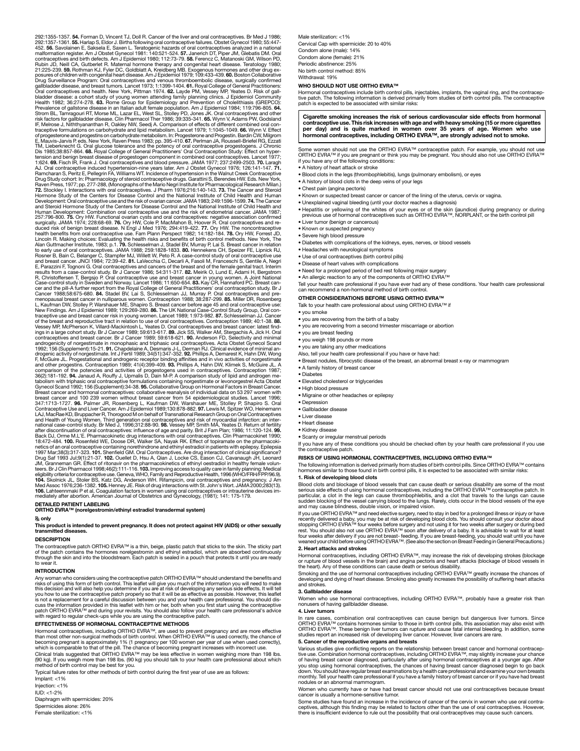292:1355-1357. 5**4.** Forman D, Vincent TJ, Doll R. Cancer of the liver and oral contraceptives. Br Med J 1986;<br>422:1357-1361.55. Harlap S, Eldor J. Births following oral contraceptive failures. Obstet Gynecol 1980; 55:447<br> Rubili 0.D, Neitherlet R. Matemal hormore therapy and compital heard isseas. Teratology 1980;<br>20:225-239. **99.** Rothman KJ, Fyler DC, Goldblatt A, Kreidberg MB. Exogenous hormones and other drug ex-<br>posures of children wit Human Development: Combination oral contraceptive use and the risk of endometrial cancer. JAMA 1987;<br>257:796-800. 75. Ory HW. Functional ovarian cysts and oral contraceptives: negative association confirmed<br>surgically. JAM Lincoln R. Making choices: Evaluating the health risks and benefits of birth control methods. New York, The<br>Alan Guttmacher Institute, 1983; p.1. 79. Schlesselman J, Stadel BV, Murray P, Lai S. Breast cancer in relation<br>to E, Parazzini F, Tognoni G. Oral contraceptives and cancers of the breast and of the female genital tract. Interim<br>results from a case-control study. Br J Cancer 1986; 54:311-317. **82.** Meirik O, Lund E, Adami H, Bergstrom<br> menopausal breast cancer in nulliparous women. Contraception 1988; 38:287-299. **85.** Miller DR, Rosenberg<br>L, Kaufman DW, Stolley P, Warshauer ME, Shapiro S. Breast cancer before age 45 and oral contraceptive use:<br>New Findi Vessey MP, McPherson K, Villard-Mackintosh L, Yeates D. Oral contraceptives and breast cancer: latest find-mackintosh L, Yeates D. Coral contraceptives and breast cancer. Br J Cancer 1989; 59:613-617. **89.** Jick SS, Walker tabolism with triphasic oral contraceptive formulations containing norgestimate or levonorgestrel Acta Obstet<br>Gynecol Scand 1992; 156 (Supplement):34-38. **95.** Collaborative Group on Hormonal Factors in Breast Cancer.<br>Brea LAJ, MacRae KD, Bruppacher R, Thorogood Mon behalf of Transnational Research Group on Oral Contraceptives<br>and Health of Young Women. Third generation oral contraceptives and risk of myocardial infaction: an inter-<br>institut

#### **DETAILED PATIENT LABELING**

**ORTHO EVRA™ (norelgestromin/ethinyl estradiol transdermal system)** 

#### ® **only**

**This product is intended to prevent pregnancy. It does not protect against HIV (AIDS) or other sexually transmitted diseases.**

**DESCRIPTION**<br>The contraceptive patch ORTHO EVRA™ is a thin, beige, plastic patch that sticks to the skin. The sticky part<br>of the patch contains the hormones norelgestromin and ethinyl estradiol, which are absorbed contin

**INTRODUCTION**<br>Any woman who considers using the contraceptive patch ORTHO EVRA™ should understand the benefits and<br>Any woman who considers using the contraceptive patch ORTHO EVRA™ should understand the benefits and<br>risk

#### **EFFECTIVENESS OF HORMONAL CONTRACEPTIVE METHODS**

Hormonal contraceptives, including ORTHO EVRA™, are used to prevent pregnancy and are more effective<br>than most other non-surgical methods of birth control. When ORTHO EVRA™ is used correctly, the chance of becoming pregnant is approximately 1% (1 pregnancy per 100 women per year of use when used correctly),<br>which is comparable to that of the pill. The chance of becoming pregnant increases with incorrect use.<br>Clinical trials

method of birth control may be best for you.

Typical failure rates for other methods of birth control during the first year of use are as follows:

Implant: <1%

Injection: <1% IUD: <1-2%

Diaphragm with spermicides: 20% Spermicides alone: 26%

Female sterilization: <1%

Male sterilization: <1% Cervical Cap with spermicide: 20 to 40% Condom alone (male): 14% Condom alone (female): 21% Periodic abstinence: 25% No birth control method: 85%

#### Withdrawal: 19%

## **WHO SHOULD NOT USE ORTHO EVRA™**

Hormonal contraceptives include birth control pills, injectables, implants, the vaginal ring, and the contracep-<br>tive patch. The following information is derived primarily from studies of birth control pills. The contracep

Cigarette smoking increases the risk of serious cardiovascular side effects from hormonal<br>contraceptive use. This risk increases with age and with heavy smoking (15 or more cigarettes<br>per day) and is quite marked in women

Some women should not use the ORTHO EVRA™ contraceptive patch. For example, you should not use<br>ORTHO EVRA™ if you are pregnant or think you may be pregnant. You should also not use ORTHO EVRA™<br>if you have any of the follo

• A history of heart attack or stroke

- Blood clots in the legs (thrombophlebitis), lungs (pulmonary embolism), or eyes
- A history of blood clots in the deep veins of your legs
- Chest pain (angina pectoris)
- Known or suspected breast cancer or cancer of the lining of the uterus, cervix or vagina.
- Unexplained vaginal bleeding (until your doctor reaches a diagnosis)
- Hepatitis or yellowing of the whites of your eyes or of the skin (jaundice) during pregnancy or during previous use of hormonal contraceptives such as ORTHO EVRA™, NORPLANT, or the birth control pill
- Liver tumor (benign or cancerous) • Known or suspected pregnancy
- Severe high blood pressure
- Diabetes with complications of the kidneys, eyes, nerves, or blood vessels
- Headaches with neurological symptoms
- Use of oral contraceptives (birth control pills)
- Disease of heart valves with complications
- Need for a prolonged period of bed rest following major surgery
- An allergic reaction to any of the components of ORTHO EVRA™

Tell your health care professional if you have ever had any of these conditions. Your health care professional can recommend a non-hormonal method of birth control.

## **OTHER CONSIDERATIONS BEFORE USING ORTHO EVRA™**

Talk to your health care professional about using ORTHO EVRA™ if

- you smoke
- you are recovering from the birth of a baby
- you are recovering from a second trimester miscarriage or abortion
- you are breast feeding
- you weigh 198 pounds or more
- you are taking any other medications
- Also, tell your health care professional if you have or have had:
- Breast nodules, fibrocystic disease of the breast, an abnormal breast x-ray or mammogram
- A family history of breast cancer • Diabetes
- Elevated cholesterol or triglycerides
- High blood pressure
- Migraine or other headaches or epilepsy
- Depression
- Gallbladder disease
- Liver disease
- Heart disease
- Kidney disease

• Scanty or irregular menstrual periods

If you have any of these conditions you should be checked often by your health care professional if you use contraceptive patch.

#### **RISKS OF USING HORMONAL CONTRACEPTIVES, INCLUDING ORTHO EVRA™**

The following information is derived primarily from studies of birth control pills. Since ORTHO EVRA™ contains hormones similar to those found in birth control pills, it is expected to be associated with similar risks: **1. Risk of developing blood clots**

Blood clots and blockage of blood vessels that can cause death or serious disability are some of the most<br>serious side effects of using hormonal contraceptives, including the ORTHO EVRA™ contraceptive patch. In<br>particular and may cause blindness, double vision, or impaired vision.

If you use ORTHO EVRA™ and need elective surgery, need to stay in bed for a prolonged illness or injury or have<br>recently delivered a baby, you may be at risk of developing blood clots. You should consult your doctor about

## **2. Heart attacks and strokes**

Hormonal contraceptives, including ORTHO EVRA™, may increase the risk of developing strokes (blockage<br>or rupture of blood vessels in the brain) and angina pectoris and heart attacks (blockage of blood vessels in<br>the heart)

Smoking and the use of hormonal contraceptives including ORTHO EVRA™ greatly increase the chances of developing and dying of heart disease. Smoking also greatly increases the possibility of suffering heart attacks and strokes.

#### **3. Gallbladder disease**

Women who use hormonal contraceptives, including ORTHO EVRA™, probably have a greater risk than nonusers of having gallbladder disease.

## **4. Liver tumors**

In rare cases, combination oral contraceptives can cause benign but dangerous liver tumors. Since<br>ORTHO EVRA™ contains hormones similar to those in birth control pills, this association may also exist with<br>ORTHO EVRA™. Th **5. Cancer of the reproductive organs and breasts**

Various studies give conflicting reports on the relationship between breast cancer and hormonal contraceptive use. Combination hormonal contraceptives, including ORTHO EVRA<sup>TM</sup>, may slightly increase your chance<br>of having breast cancer diagnosed, particularly after using hormonal contraceptives at a younger age. After<br>you sto nodules or an abnormal mammogram.

Women who currently have or have had breast cancer should not use oral contraceptives because breast cancer is usually a hormone-sensitive tumor. Some studies have found an increase in the incidence of cancer of the cervix in women who use oral contra-

ceptives, although this finding may be related to factors other than the use of oral contraceptives. However, there is insufficient evidence to rule out the possibility that oral contraceptives may cause such cancers.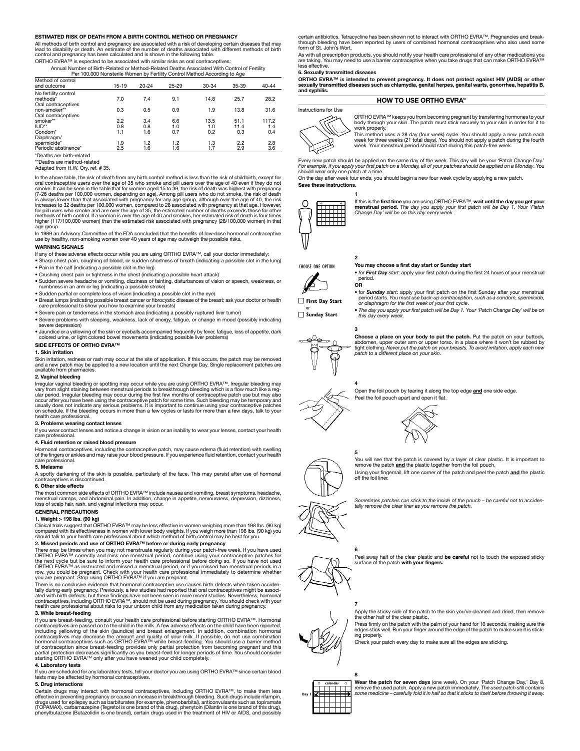## **ESTIMATED RISK OF DEATH FROM A BIRTH CONTROL METHOD OR PREGNANCY**

All methods of birth control and pregnancy are associated with a risk of developing certain diseases that may lead to disability or death. An estimate of the number of deaths associated with different methods of birth control and pregnancy has been calculated and is shown in the following table. ORTHO EVRA™ is expected to be associated with similar risks as oral contraceptives:

# Annual Number of Birth-Related or Method-Related Deaths Associated With Control of Fertility Per 100,000 Nonsterile Women by Fertility Control Method According to Age

| Method of control<br>and outcome | $15 - 19$ | $20 - 24$ | $25 - 29$ | 30-34 | 35-39 | $40 - 44$ |
|----------------------------------|-----------|-----------|-----------|-------|-------|-----------|
| No fertility control             |           |           |           |       |       |           |
| methods*                         | 7.0       | 7.4       | 9.1       | 14.8  | 25.7  | 28.2      |
| Oral contraceptives              |           |           |           |       |       |           |
| non-smoker**                     | 0.3       | 0.5       | 0.9       | 1.9   | 13.8  | 31.6      |
| Oral contraceptives              |           |           |           |       |       |           |
| smoker**                         | 2.2       | 3.4       | 6.6       | 13.5  | 51.1  | 117.2     |
| IUD**                            | 0.8       | 0.8       | 1.0       | 1.0   | 11.4  | 1.4       |
| Condom*                          | 1.1       | 1.6       | 0.7       | 0.2   | 0.3   | 0.4       |
| Diaphragm/                       |           |           |           |       |       |           |
| spermicide*                      | 1.9       | 1.2       | 1.2       | 1.3   | 2.2   | 2.8       |
| Periodic abstinence*             | 2.5       | 1.6       | 1.6       | 1.7   | 2.9   | 3.6       |

\*Deaths are birth-related \*\*Deaths are method-related

Adapted from H.W. Ory, ref. # 35.

In the above table, the risk of death from any birth control method is less than the risk of childbirth, except for<br>oral contraceptive users over the age of 35 who smokes limes served as the served for smoke. It can be see higher (117/100,000 women) than the estimated risk associated with pregnancy (28/100,000 women) in that age group. In 1989 an Advisory Committee of the FDA concluded that the benefits of low-dose hormonal contraceptive

use by healthy, non-smoking women over 40 years of age may outweigh the possible risks.

#### **WARNING SIGNALS**

If any of these adverse effects occur while you are using ORTHO EVRA™, call your doctor immediately:

• Sharp chest pain, coughing of blood, or sudden shortness of breath (indicating a possible clot in the lung) • Pain in the calf (indicating a possible clot in the leg)

- Crushing chest pain or tightness in the chest (indicating a possible heart attack)
- 
- Sudden severe headache or vomiting, dizziness or fainting, disturbances of vision or speech, weakness, or numbness in an arm or leg (indicating a possible stroke)
- Sudden partial or complete loss of vision (indicating a possible clot in the eye)
- · Breast lumps (indicating possible breast cancer or fibrocystic disease of the breast; ask your doctor or health care professional to show you how to examine your breasts)
- Severe pain or tenderness in the stomach area (indicating a possibly ruptured liver tumor)
- Severe problems with sleeping, weakness, lack of energy, fatigue, or change in mood (possibly indicating severe depression)
- Jaundice or a yellowing of the skin or eyeballs accompanied frequently by fever, fatigue, loss of appetite, dark colored urine, or light colored bowel movements (indicating possible liver problems)

## **SIDE EFFECTS OF ORTHO EVRA™**

## **1. Skin irritation**

Skin irritation, redness or rash may occur at the site of application. If this occurs, the patch may be removed<br>and a new patch may be applied to a new location until the next Change Day. Single replacement patches are<br>ava

#### **2. Vaginal bleeding**

Irregular vaginal bleeding or spotting may occur while you are using ORTHO EVRA™. Irregular bleeding may vary from slight staining between menstrual periods to breakthrough bleeding which is a flow much like a reg-<br>ular period. Irregular bleeding may occur during the first few months of contraceptive patch use but may also<br>oc on schedule. If the bleeding occurs in more than a few cycles or lasts for more than a few days, talk to your health care professional.

## **3. Problems wearing contact lenses**

If you wear contact lenses and notice a change in vision or an inability to wear your lenses, contact your health care professional.

## **4. Fluid retention or raised blood pressure**

Hormonal contraceptives, including the contraceptive patch, may cause edema (fluid retention) with swelling of the fingers or ankles and may raise your blood pressure. If you experience fluid retention, contact your health care professional.

#### **5. Melasma**

A spotty darkening of the skin is possible, particularly of the face. This may persist after use of hormonal contraceptives is discontinued.

#### **6. Other side effects**

The most common side effects of ORTHO EVRA™ include nausea and vomiting, breast symptoms, headache,<br>menstrual cramps, and abdominal pain. In addition, change in appetite, nervousness, depression, dizziness,<br>loss of scalp

## **GENERAL PRECAUTIONS**

## **1. Weight > 198 lbs. (90 kg)**

Clinical trials suggest that ORTHO EVRA™ may be less effective in women weighing more than 198 lbs. (90 kg) compared with its effectiveness in women with lower body weights. If you weigh more than 198 lbs. (90 kg) you should talk to your health care professional about which method of birth control may be best for you.

## **2. Missed periods and use of ORTHO EVRA™ before or during early pregnancy**

There may be times when you may not menstruate regularly during your patch-free week. If you have used ORTHO EVRA™ correctly and miss one menstrual period, continue using your contraceptive patches for the next cycle but be sure to inform your health care professional before doing so. If you have not used ORTHO EVRA™ as instructed and missed a menstrual period, or if you missed two menstrual periods in a<br>row, you could be pregnant. Check with your health care professional immediately to determine whether<br>you are pregnant.

There is no conclusive evidence that hormonal contraceptive use causes birth defects when taken acciden-<br>tally during early pregnancy. Previously, a few studies had reported that oral contraceptives might be associ-<br>ated w

## **3. While breast-feeding**

lf you are breast-feeding, consult your health care professional before starting ORTHO EVRA™. Hormonal<br>contraceptives are passed on to the child in the milk. A few adverse effects on the child have been reported,<br>including contraceptives may decrease the amount and quality of your milk. If possible, do not use combination<br>hormonal contraceptives such as ORTHO EVRA™ while breast-feeding. You should use a barrier method<br>of contraception since

# **4. Laboratory tests**

lf you are scheduled for any laboratory tests, tell your doctor you are using ORTHO EVRA™ since certain blood<br>tests may be affected by hormonal contraceptives.

#### **5. Drug interactions**

Certain drugs may interact with hormonal contraceptives, including ORTHO EVRA™, to make them less effective in preventing pregnancy or cause an increase in breakthrough bleeding. Such drugs include rifampin,<br>drugs used for epilepsy such as barbiturates (for example, phenobarbital), anticonvulsants such as topiramate<br>(T certain antibiotics. Tetracycline has been shown not to interact with ORTHO EVRA™. Pregnancies and break-<br>through bleeding have been reported by users of combined hormonal contraceptives who also used some<br>form of St. John

As with all prescription products, you should notify your health care professional of any other medications you<br>are taking. You may need to use a barrier contraceptive when you take drugs that can make ORTHO EVRA™ are taking. You<br>less effective.

#### **6. Sexually transmitted diseases**

ORTHO EVRA™ is intended to prevent pregnancy. It does not protect against HIV (AIDS) or other<br>sexually transmitted diseases such as chlamydia, genital herpes, genital warts, gonorrhea, hepatitis B, **and syphilis.**

## **HOW TO USE ORTHO EVRA™**



ORTHO EVRA™ keeps you from becoming pregnant by transferring hormones to your<br>body through your skin. The patch must stick securely to your skin in order for it to<br>work properly.

This method uses a 28 day (four week) cycle. You should apply a new patch each<br>week for three weeks (21 total days). You should not apply a patch during the fourth<br>week. Your menstrual period should start during this patch

Every new patch should be applied on the same day of the week. This day will be your 'Patch Change Day.' *For example, if you apply your first patch on a Monday, all of your patches should be applied on a Monday*. You should wear only one patch at a time.

## On the day after week four ends, you should begin a new four week cycle by applying a new patch.

**1**

**3**

**5**

**Save these instructions.**

# <u>ÎHHÎ</u>

If this is the **first time** you are using ORTHO EVRA™, **wait until the day you get your menstrual period.** *The day you apply your first patch will be Day 1. Your 'Patch Change Day' will be on this day every week*.

# **2**

**You may choose a first day start or Sunday start** • *for First Day start*: apply your first patch during the first 24 hours of your menstrual period.



CHOOSE ONE OPTION:

**OR**

<sup>or</sup><br>Sunday Start

# • for **Sunday** start: apply your first patch on the first Sunday after your menstrual<br>period starts. You must use back-up contraception, such as a condom, spermicide,<br>or diaphragm for the first week of your first cycle.

• *The day you apply your first patch will be Day 1. Your 'Patch Change Day' will be on this day every week.*

**Choose a place on your body to put the patch.** Put the patch on your buttock, abdomen, upper outer arm or upper torso, in a place where it won't be rubbed by tight clothing. Never put the patch on your breasts. To avoid i



Open the foil pouch by tearing it along the top edge **and** one side edge. Peel the foil pouch apart and open it flat.

You will see that the patch is covered by a layer of clear plastic. It is important to remove the patch **and** the plastic together from the foil pouch.

Using your fingernail, lift one corner of the patch and peel the patch **and** the plastic off the foil liner.



*Sometimes patches can stick to the inside of the pouch – be careful not to acciden-tally remove the clear liner as you remove the patch.*



Peel away half of the clear plastic and **be careful** not to touch the exposed sticky surface of the patch **with your fingers.**

## **7** Apply the sticky side of the patch to the skin you've cleaned and dried, then remove the other half of the clear plastic. Press firmly on the patch with the palm of your hand for 10 seconds, making sure the

edges stick well. Run your finger around the edge of the patch to make sure it is sticking properly.

Check your patch every day to make sure all the edges are sticking.



**8**

**C** cakedar **b Wear the patch for seven days** (one week). On your 'Patch Change Day,' Day 8,<br>
remove the used patch. Apply a new patch immediately. The used patch still contains<br>  $\mathbf{p}_{\mathbf{x}1}$  and **Solution** carefully